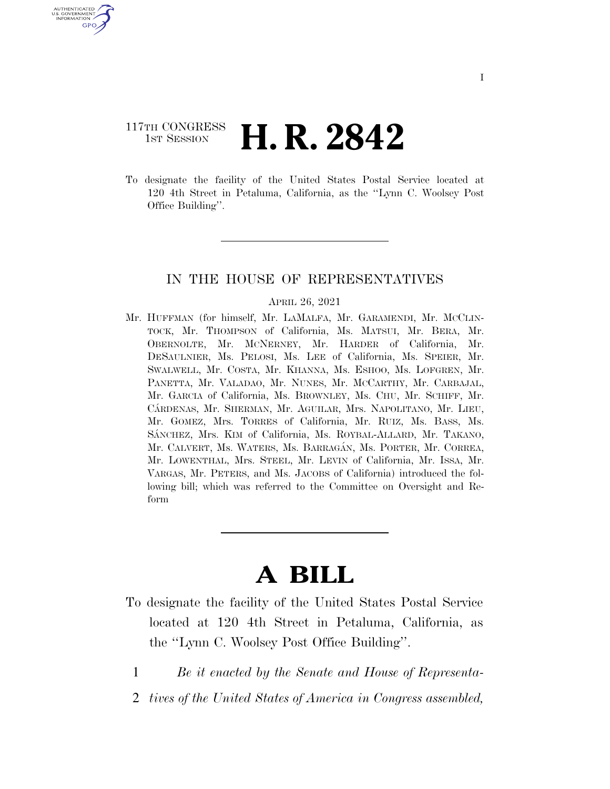# 117TH CONGRESS **1st Session H. R. 2842**

U.S. GOVERNMENT GPO

> To designate the facility of the United States Postal Service located at 120 4th Street in Petaluma, California, as the ''Lynn C. Woolsey Post Office Building''.

## IN THE HOUSE OF REPRESENTATIVES

#### APRIL 26, 2021

Mr. HUFFMAN (for himself, Mr. LAMALFA, Mr. GARAMENDI, Mr. MCCLIN-TOCK, Mr. THOMPSON of California, Ms. MATSUI, Mr. BERA, Mr. OBERNOLTE, Mr. MCNERNEY, Mr. HARDER of California, Mr. DESAULNIER, Ms. PELOSI, Ms. LEE of California, Ms. SPEIER, Mr. SWALWELL, Mr. COSTA, Mr. KHANNA, Ms. ESHOO, Ms. LOFGREN, Mr. PANETTA, Mr. VALADAO, Mr. NUNES, Mr. MCCARTHY, Mr. CARBAJAL, Mr. GARCIA of California, Ms. BROWNLEY, Ms. CHU, Mr. SCHIFF, Mr. CA´RDENAS, Mr. SHERMAN, Mr. AGUILAR, Mrs. NAPOLITANO, Mr. LIEU, Mr. GOMEZ, Mrs. TORRES of California, Mr. RUIZ, Ms. BASS, Ms. SÁNCHEZ, Mrs. KIM of California, Ms. ROYBAL-ALLARD, Mr. TAKANO, Mr. CALVERT, Ms. WATERS, Ms. BARRAGA´N, Ms. PORTER, Mr. CORREA, Mr. LOWENTHAL, Mrs. STEEL, Mr. LEVIN of California, Mr. ISSA, Mr. VARGAS, Mr. PETERS, and Ms. JACOBS of California) introduced the following bill; which was referred to the Committee on Oversight and Reform

# **A BILL**

- To designate the facility of the United States Postal Service located at 120 4th Street in Petaluma, California, as the ''Lynn C. Woolsey Post Office Building''.
	- 1 *Be it enacted by the Senate and House of Representa-*
	- 2 *tives of the United States of America in Congress assembled,*